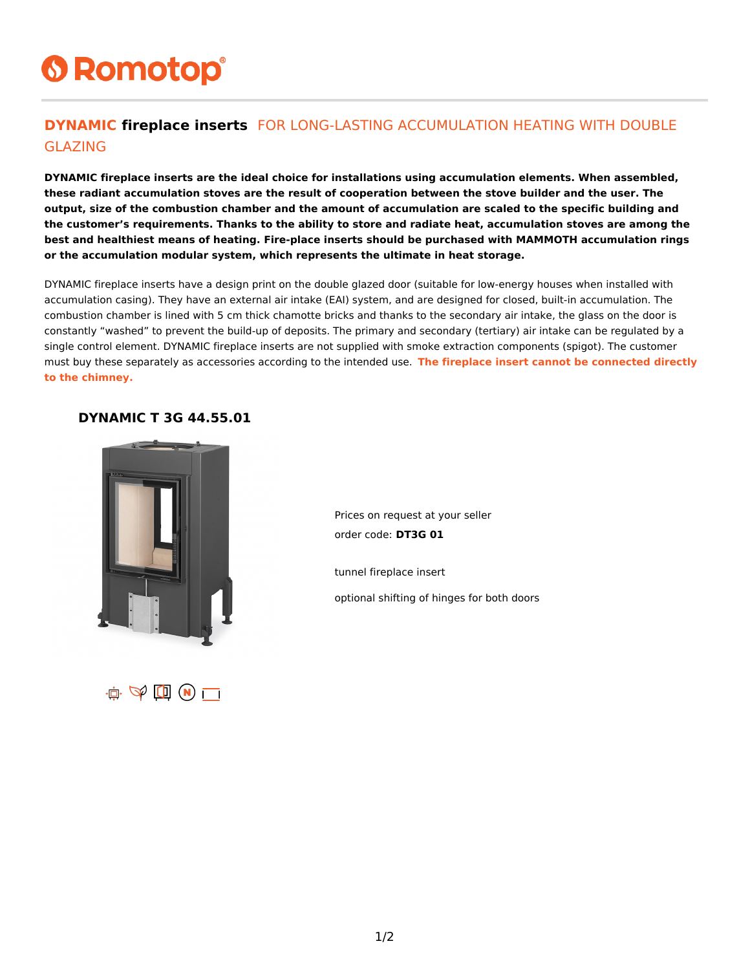# **6 Romotop®**

### **DYNAMIC fireplace inserts** FOR LONG-LASTING ACCUMULATION HEATING WITH DOUBLE GLAZING

**DYNAMIC fireplace inserts are the ideal choice for installations using accumulation elements. When assembled, these radiant accumulation stoves are the result of cooperation between the stove builder and the user. The output, size of the combustion chamber and the amount of accumulation are scaled to the specific building and the customer's requirements. Thanks to the ability to store and radiate heat, accumulation stoves are among the best and healthiest means of heating. Fire-place inserts should be purchased with MAMMOTH accumulation rings or the accumulation modular system, which represents the ultimate in heat storage.**

DYNAMIC fireplace inserts have a design print on the double glazed door (suitable for low-energy houses when installed with accumulation casing). They have an external air intake (EAI) system, and are designed for closed, built-in accumulation. The combustion chamber is lined with 5 cm thick chamotte bricks and thanks to the secondary air intake, the glass on the door is constantly "washed" to prevent the build-up of deposits. The primary and secondary (tertiary) air intake can be regulated by a single control element. DYNAMIC fireplace inserts are not supplied with smoke extraction components (spigot). The customer must buy these separately as accessories according to the intended use. **The fireplace insert cannot be connected directly to the chimney.**

#### **DYNAMIC T 3G 44.55.01**



Prices on request at your seller order code: **DT3G 01**

tunnel fireplace insert

optional shifting of hinges for both doors

 $\mathbf{A}$   $\oplus$   $\mathbf{B}$   $\mathbf{A}$   $\mathbf{C}$